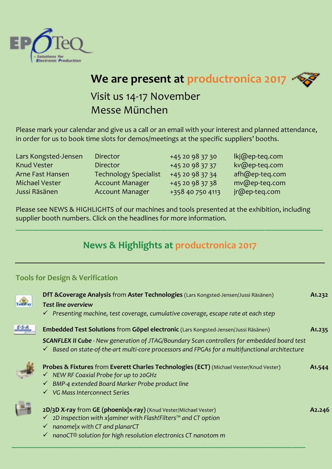



# Visit us 14-17 November Messe München

Please mark your calendar and give us a call or an email with your interest and planned attendance, in order for us to book time slots for demos/meetings at the specific suppliers' booths.

| Lars Kongsted-Jensen    | <b>Director</b>              | +45 20 98 37 30  | lkj@ep-teq.com |
|-------------------------|------------------------------|------------------|----------------|
| <b>Knud Vester</b>      | <b>Director</b>              | +45 20 98 37 37  | kv@ep-teq.com  |
| <b>Arne Fast Hansen</b> | <b>Technology Specialist</b> | +45 20 98 37 34  | afh@ep-teq.com |
| Michael Vester          | <b>Account Manager</b>       | +45 20 98 37 38  | mv@ep-teq.com  |
| Jussi Räsänen           | <b>Account Manager</b>       | +358 40 750 4113 | jr@ep-teq.com  |

Please see NEWS & HIGHLIGHTS of our machines and tools presented at the exhibition, including supplier booth numbers. Click on the headlines for more information.

## **News & Highlights at productronica 2017**

**\_\_\_\_\_\_\_\_\_\_\_\_\_\_\_\_\_\_\_\_\_\_\_\_\_\_\_\_\_\_\_\_\_\_\_\_\_\_\_\_\_\_\_\_\_\_\_\_\_\_\_\_\_\_\_\_\_\_\_\_\_\_\_\_\_\_\_\_\_\_\_\_\_\_\_\_\_\_\_\_\_\_\_\_\_\_\_\_\_\_\_**

#### **[Tools for Design & Verification](http://en.ep-teq.com/products/tools-for-design-verification.aspx)**

| DfT & Coverage Analysis from Aster Technologies (Lars Kongsted-Jensen/Jussi Räsänen)                      | A1.232              |
|-----------------------------------------------------------------------------------------------------------|---------------------|
| <b>Test line overview</b>                                                                                 |                     |
| $\checkmark$ Presenting machine, test coverage, cumulative coverage, escape rate at each step             |                     |
| Embedded Test Solutions from Göpel electronic (Lars Kongsted-Jensen/Jussi Räsänen)                        | A <sub>1</sub> .235 |
| <b>SCANFLEX II Cube</b> - New generation of JTAG/Boundary Scan controllers for embedded board test        |                     |
| $\checkmark$ Based on state-of-the-art multi-core processors and FPGAs for a multifunctional architecture |                     |
| Probes & Fixtures from Everett Charles Technologies (ECT) (Michael Vester/Knud Vester)                    | A <sub>1</sub> .544 |
| √ NEW RF Coaxial Probe for up to 20GHz                                                                    |                     |
| BMP-4 extended Board Marker Probe product line<br>$\checkmark$                                            |                     |
| $\checkmark$ VG Mass Interconnect Series                                                                  |                     |
| 2D/3D X-ray from GE (phoenix  x-ray) (Knud Vester/Michael Vester)                                         | A <sub>2</sub> .246 |
| 2D inspection with x aminer with Flash!Filters™ and CT option                                             |                     |
| $\checkmark$ nanome x with CT and planarCT                                                                |                     |
| nanoCT® solution for high resolution electronics CT nanotom m<br>$\checkmark$                             |                     |
|                                                                                                           |                     |

**\_\_\_\_\_\_\_\_\_\_\_\_\_\_\_\_\_\_\_\_\_\_\_\_\_\_\_\_\_\_\_\_\_\_\_\_\_\_\_\_\_\_\_\_\_\_\_\_\_\_\_\_\_\_\_\_\_\_\_\_\_\_\_\_\_\_\_\_\_\_\_\_\_\_\_\_\_\_\_\_\_\_\_\_\_\_\_**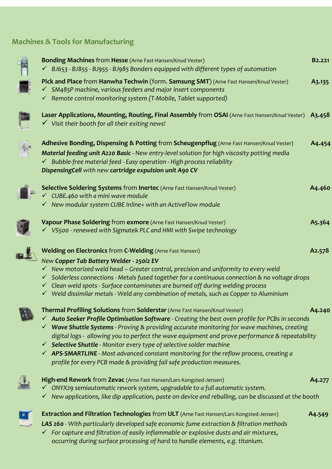### **[Machines & Tools for Manufacturing](http://en.ep-teq.com/products/machines-tools-for-electronic-production.aspx)**



**Bonding Machines** from **Hesse** (Arne Fast Hansen/Knud Vester) **B2.221** ✓ *BJ653 - BJ855 - BJ955 - BJ985 Bonders equipped with different types of automation*  **Pick and Place** from **Hanwha Techwin** (form. **Samsung SMT**) (Arne Fast Hansen/Knud Vester) **A3.135**  ✓ *SM485P machine, various feeders and major insert components*  ✓ *Remote control monitoring system (T-Mobile, Tablet supported)*  **Laser Applications, Mounting, Routing, Final Assembly** from **OSAI** (Arne Fast Hansen/Knud Vester) **A3.458**  ✓ *Visit their booth for all their exiting news!*  **Adhesive Bonding, Dispensing & Potting** from **Scheugenpflug** (Arne Fast Hansen/Knud Vester) **A4.454** *Material feeding unit A220 Basic - New entry-level solution for high viscosity potting media* ✓ *Bubble-free material feed - Easy operation - High process reliability DispensingCell with new cartridge expulsion unit A90 CV* **Selective Soldering Systems** from **Inertec** (Arne Fast Hansen/Knud Vester) **A4.460** ✓ *CUBE.460 with a mini wave module*  ✓ *New modular system CUBE Inline+ with an ActiveFlow module*  **Vapour Phase Soldering** from **exmore** (Arne Fast Hansen/Knud Vester) **A5.364** ✓ *VS500 - renewed with Sigmatek PLC and HMI with Swipe technology*  **Welding on Electronics** from **C-Welding** (Arne Fast Hansen) **A2.578** *New Copper Tab Battery Welder - 250i2 EV* ✓ *New motorized weld head – Greater control, precision and uniformity to every weld*  ✓ *Solderless connections - Metals fused together for a continuous connection & no voltage drops*  ✓ *Clean weld spots - Surface contaminates are burned off during welding process*  ✓ *Weld dissimilar metals - Weld any combination of metals, such as Copper to Aluminium*  **Thermal Profiling Solutions** from **Solderstar** (Arne Fast Hansen/Knud Vester) **A4.240** ✓ *Auto Seeker Profile Optimisation Software - Creating the best oven profile for PCBs in seconds*  ✓ *Wave Shuttle Systems - Proving & providing accurate monitoring for wave machines, creating digital logs - allowing you to perfect the wave equipment and prove performance & repeatability*  ✓ *Selective Shuttle - Monitor every type of selective solder machine*  ✓ *APS-SMARTLINE - Most advanced constant monitoring for the reflow process, creating a profile for every PCB made & providing fail safe production measures.*  **High-end Rework** from **Zevac** (Arne Fast Hansen/Lars Kongsted-Jensen) **A4.277** ✓ *ONYX29 semiautomatic rework system, upgradable to a full automatic system.*  ✓ *New applications, like dip application, paste on device and reballing, can be discussed at the booth* 



- **Extraction and Filtration Technologies** from **ULT** (Arne Fast Hansen/Lars Kongsted-Jensen) **A4.549**
- *LAS 260 With particularly developed safe economic fume extraction & filtration methods*
- ✓ *For capture and filtration of easily inflammable or explosive dusts and air mixtures, occurring during surface processing of hard to handle elements, e.g. titanium.*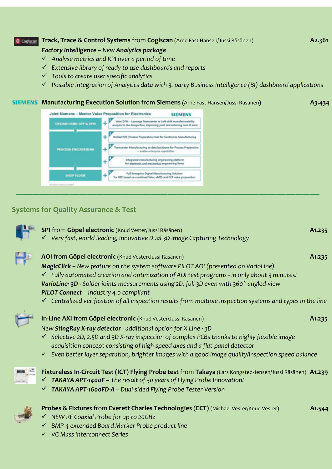### **Track, Trace & Control Systems** from **Cogiscan** (Arne Fast Hansen/Jussi Räsänen) **A2.361 A2.361** *Factory Intelligence – New Analytics package*

- ✓ *Analyse metrics and KPI over a period of time*
- ✓ *Extensive library of ready to use dashboards and reports*
- ✓ *Tools to create user specific analytics*
- ✓ *Possible integration of Analytics data with 3. party Business Intelligence (BI) dashboard applications*

#### **Manufacturing Execution Solution** from **Siemens** (Arne Fast Hansen/Jussi Räsänen) **A3.434**

**Joint Siemens - Mentor Value Proposition for Electronics SIEMENS** Value OFM - Levenage Teamornter to Left shift manufacturability<br>analysis to the design flow, improving yield and reducing cost of error DESTON HAND-OFF & DFM ۰ Unified NPI (Process Preparation) tool for Electronics Manufacturing center Manufacturing as data backbone for Process Preparation **ROCESS ENGINEERING** - analile enterprise capabilities Integrated manufacturing orgineering platform<br>for electronic and mechanical engineering flows Full Enterprise Digital Manufacturing Solution<br>for HTE based on combined Valor, eMES and CEP value pro **SHOP FLOOR** 

#### **[Systems for Quality Assurance & Test](http://en.ep-teq.com/products/systems-for-quality-assurance-and-test.aspx)**

| SPI from Göpel electronic (Knud Vester/Jussi Räsänen)<br>√ Very fast, world leading, innovative Dual 3D image Capturing Technology                                                                                                                                                                                                                                                                                                                                                                                          | A1.235              |
|-----------------------------------------------------------------------------------------------------------------------------------------------------------------------------------------------------------------------------------------------------------------------------------------------------------------------------------------------------------------------------------------------------------------------------------------------------------------------------------------------------------------------------|---------------------|
| AOI from Göpel electronic (Knud Vester/Jussi Räsänen)<br><b>MagicClick</b> – New feature on the system software PILOT AOI (presented on VarioLine)<br>$\checkmark$ Fully automated creation and optimization of AOI test programs - in only about 3 minutes!<br>VarioLine· 3D - Solder joints measurements using 2D, full 3D even with 360° angled-view<br>PILOT Connect - Industry 4.0 compliant<br>$\checkmark$ Centralized verification of all inspection results from multiple inspection systems and types in the line | A1.235              |
| In-Line AXI from Göpel electronic (Knud Vester/Jussi Räsänen)<br>New StingRay X-ray detector - additional option for X Line $\cdot$ 3D<br>$\checkmark$ Selective 2D, 2.5D and 3D X-ray inspection of complex PCBs thanks to highly flexible image<br>acquisition concept consisting of high-speed axes and a flat-panel detector<br>$\checkmark$ Even better layer separation, brighter images with a good image quality/inspection speed balance                                                                           | A <sub>1</sub> .235 |
| Fixtureless In-Circuit Test (ICT) Flying Probe test from Takaya (Lars Kongsted-Jensen/Jussi Räsänen) A1.239<br>$\checkmark$ TAKAYA APT-1400F – The result of 30 years of Flying Probe Innovation!<br>√ TAKAYA APT-1600FD-A - Dual-sided Flying Probe Tester Version                                                                                                                                                                                                                                                         |                     |
| Probes & Fixtures from Everett Charles Technologies (ECT) (Michael Vester/Knud Vester)<br>$\checkmark$ NEW RF Coaxial Probe for up to 20GHz<br>$\checkmark$ BMP-4 extended Board Marker Probe product line<br>√ VG Mass Interconnect Series                                                                                                                                                                                                                                                                                 | A <sub>1</sub> .544 |

**\_\_\_\_\_\_\_\_\_\_\_\_\_\_\_\_\_\_\_\_\_\_\_\_\_\_\_\_\_\_\_\_\_\_\_\_\_\_\_\_\_\_\_\_\_\_\_\_\_\_\_\_\_\_\_\_\_\_\_\_\_\_\_\_\_\_\_\_\_\_\_\_\_\_\_\_\_\_\_\_\_\_\_\_\_\_\_\_\_\_**